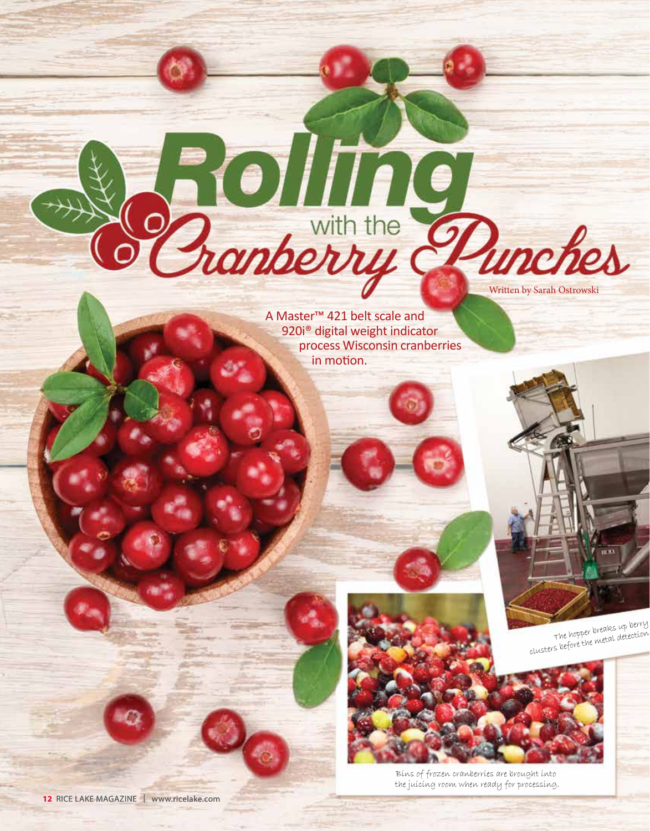A Master™ 421 belt scale and 920i® digital weight indicator process Wisconsin cranberries in motion.

**Solling** 



The hopper breaks up berry clusters before the metal detection

Written by Sarah Ostrowski



Bins of frozen cranberries are brought into the juicing room when ready for processing.